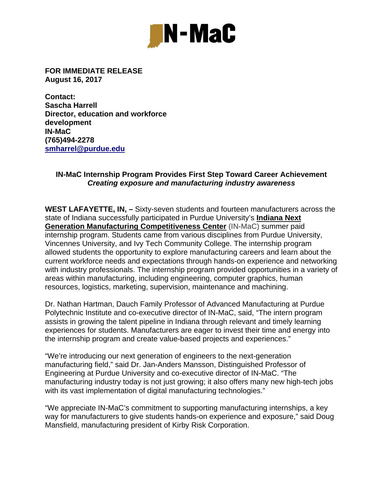

**FOR IMMEDIATE RELEASE August 16, 2017** 

**Contact: Sascha Harrell Director, education and workforce development IN-MaC (765)494-2278 smharrel@purdue.edu** 

## **IN-MaC Internship Program Provides First Step Toward Career Achievement**  *Creating exposure and manufacturing industry awareness*

**WEST LAFAYETTE, IN, –** Sixty-seven students and fourteen manufacturers across the state of Indiana successfully participated in Purdue University's **Indiana Next Generation Manufacturing Competitiveness Center** (IN-MaC) summer paid internship program. Students came from various disciplines from Purdue University, Vincennes University, and Ivy Tech Community College. The internship program allowed students the opportunity to explore manufacturing careers and learn about the current workforce needs and expectations through hands-on experience and networking with industry professionals. The internship program provided opportunities in a variety of areas within manufacturing, including engineering, computer graphics, human resources, logistics, marketing, supervision, maintenance and machining.

Dr. Nathan Hartman, Dauch Family Professor of Advanced Manufacturing at Purdue Polytechnic Institute and co-executive director of IN-MaC, said, "The intern program assists in growing the talent pipeline in Indiana through relevant and timely learning experiences for students. Manufacturers are eager to invest their time and energy into the internship program and create value-based projects and experiences."

"We're introducing our next generation of engineers to the next-generation manufacturing field," said Dr. Jan-Anders Mansson, Distinguished Professor of Engineering at Purdue University and co-executive director of IN-MaC. "The manufacturing industry today is not just growing; it also offers many new high-tech jobs with its vast implementation of digital manufacturing technologies."

"We appreciate IN-MaC's commitment to supporting manufacturing internships, a key way for manufacturers to give students hands-on experience and exposure," said Doug Mansfield, manufacturing president of Kirby Risk Corporation.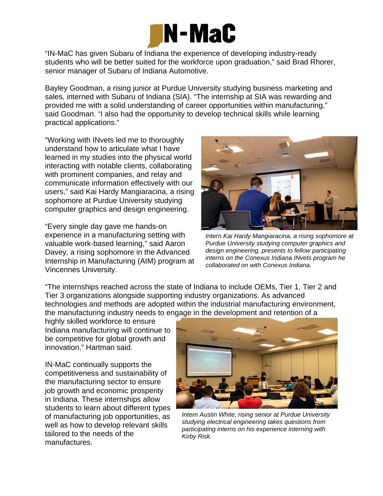

"IN-MaC has given Subaru of Indiana the experience of developing industry-ready students who will be better suited for the workforce upon graduation," said Brad Rhorer, senior manager of Subaru of Indiana Automotive.

Bayley Goodman, a rising junior at Purdue University studying business marketing and sales, interned with Subaru of Indiana (SIA). "The internship at SIA was rewarding and provided me with a solid understanding of career opportunities within manufacturing," said Goodman. "I also had the opportunity to develop technical skills while learning practical applications."

"Working with INvets led me to thoroughly understand how to articulate what I have learned in my studies into the physical world interacting with notable clients, collaborating with prominent companies, and relay and communicate information effectively with our users," said Kai Hardy Mangiaracina, a rising sophomore at Purdue University studying computer graphics and design engineering.

"Every single day gave me hands-on experience in a manufacturing setting with valuable work-based learning," said Aaron Davey, a rising sophomore in the Advanced Internship in Manufacturing (AIM) program at Vincennes University.



*Intern Kai Hardy Mangiaracina, a rising sophomore at Purdue University studying computer graphics and design engineering, presents to fellow participating interns on the Conexus Indiana INvets program he collaborated on with Conexus Indiana.* 

"The internships reached across the state of Indiana to include OEMs, Tier 1, Tier 2 and Tier 3 organizations alongside supporting industry organizations. As advanced technologies and methods are adopted within the industrial manufacturing environment, the manufacturing industry needs to engage in the development and retention of a

highly skilled workforce to ensure Indiana manufacturing will continue to be competitive for global growth and innovation," Hartman said.

IN-MaC continually supports the competitiveness and sustainability of the manufacturing sector to ensure job growth and economic prosperity in Indiana. These internships allow students to learn about different types of manufacturing job opportunities, as well as how to develop relevant skills tailored to the needs of the manufactures.



*Intern Austin White, rising senior at Purdue University studying electrical engineering takes questions from participating interns on his experience interning with Kirby Risk.*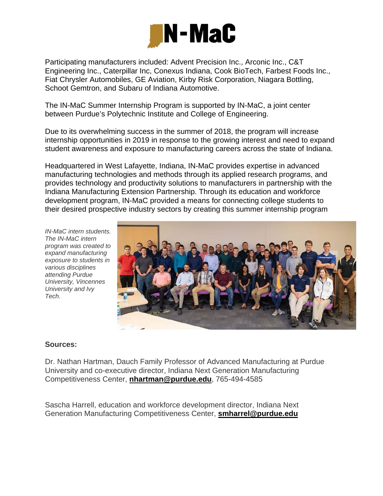

Participating manufacturers included: Advent Precision Inc., Arconic Inc., C&T Engineering Inc., Caterpillar Inc, Conexus Indiana, Cook BioTech, Farbest Foods Inc., Fiat Chrysler Automobiles, GE Aviation, Kirby Risk Corporation, Niagara Bottling, Schoot Gemtron, and Subaru of Indiana Automotive.

The IN-MaC Summer Internship Program is supported by IN-MaC, a joint center between Purdue's Polytechnic Institute and College of Engineering.

Due to its overwhelming success in the summer of 2018, the program will increase internship opportunities in 2019 in response to the growing interest and need to expand student awareness and exposure to manufacturing careers across the state of Indiana.

Headquartered in West Lafayette, Indiana, IN-MaC provides expertise in advanced manufacturing technologies and methods through its applied research programs, and provides technology and productivity solutions to manufacturers in partnership with the Indiana Manufacturing Extension Partnership. Through its education and workforce development program, IN-MaC provided a means for connecting college students to their desired prospective industry sectors by creating this summer internship program

*IN-MaC intern students. The IN-MaC intern program was created to expand manufacturing exposure to students in various disciplines attending Purdue University, Vincennes University and Ivy Tech.* 



## **Sources:**

Dr. Nathan Hartman, Dauch Family Professor of Advanced Manufacturing at Purdue University and co-executive director, Indiana Next Generation Manufacturing Competitiveness Center, **nhartman@purdue.edu**, 765-494-4585

Sascha Harrell, education and workforce development director, Indiana Next Generation Manufacturing Competitiveness Center, **smharrel@purdue.edu**